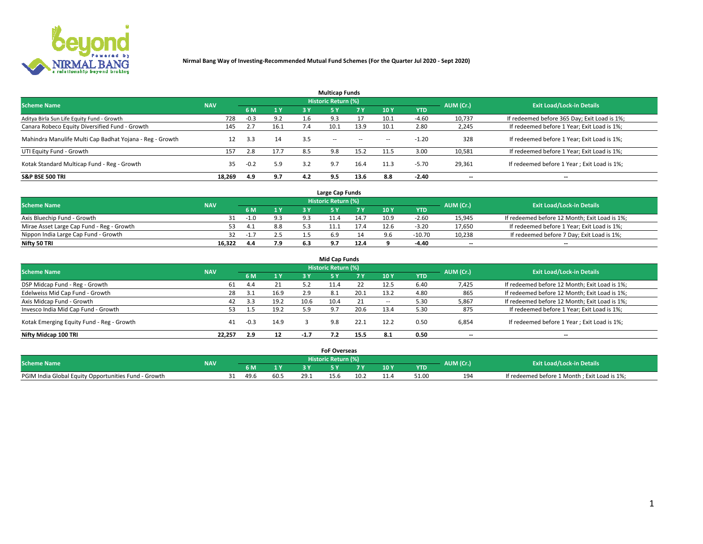

| <b>Multicap Funds</b>                                    |            |        |      |     |                     |           |                          |            |           |                                              |  |  |  |
|----------------------------------------------------------|------------|--------|------|-----|---------------------|-----------|--------------------------|------------|-----------|----------------------------------------------|--|--|--|
| <b>Scheme Name</b>                                       | <b>NAV</b> |        |      |     | Historic Return (%) |           |                          |            | AUM (Cr.) | <b>Exit Load/Lock-in Details</b>             |  |  |  |
|                                                          |            | 6 M    | 1 Y  | 3 Y | <b>5Y</b>           | <b>7Y</b> | 10Y                      | <b>YTD</b> |           |                                              |  |  |  |
| Aditya Birla Sun Life Equity Fund - Growth               | 728        | $-0.3$ | 9.2  |     |                     |           | 10.1                     | $-4.60$    | 10,737    | If redeemed before 365 Day; Exit Load is 1%; |  |  |  |
| Canara Robeco Equity Diversified Fund - Growth           | 145        | 2.7    | 16.1 | 7.4 | 10.1                | 13.9      | 10.1                     | 2.80       | 2,245     | If redeemed before 1 Year; Exit Load is 1%;  |  |  |  |
| Mahindra Manulife Multi Cap Badhat Yojana - Reg - Growth | 12         | 3.3    | 14   | 3.5 | $\sim$ $-$          | $\sim$    | $\overline{\phantom{a}}$ | $-1.20$    | 328       | If redeemed before 1 Year; Exit Load is 1%;  |  |  |  |
| UTI Equity Fund - Growth                                 | 157        | 2.8    | 17.7 | 8.5 | 9.8                 | 15.2      | 11.5                     | 3.00       | 10,581    | If redeemed before 1 Year; Exit Load is 1%;  |  |  |  |
| Kotak Standard Multicap Fund - Reg - Growth              | 35         | $-0.2$ | 5.9  | 3.2 | 9.7                 | 16.4      | 11.3                     | $-5.70$    | 29,361    | If redeemed before 1 Year; Exit Load is 1%;  |  |  |  |
| <b>S&amp;P BSE 500 TRI</b>                               | 18.269     | 4.9    | 9.7  | 4.2 | 9.5                 | 13.6      | 8.8                      | $-2.40$    | --        | $- -$                                        |  |  |  |

|                                           |            |                                  |                       | Large Cap Funds |      |      |            |                          |                                               |
|-------------------------------------------|------------|----------------------------------|-----------------------|-----------------|------|------|------------|--------------------------|-----------------------------------------------|
| <b>Scheme Name</b>                        | AUM (Cr.)  | <b>Exit Load/Lock-in Details</b> |                       |                 |      |      |            |                          |                                               |
|                                           | <b>NAV</b> |                                  | $\sqrt{1}$ $\sqrt{2}$ |                 | 7 V  | 10 Y | <b>YTD</b> |                          |                                               |
| Axis Bluechip Fund - Growth               |            | $-1.1$                           |                       |                 | 14.7 | 10.9 | $-2.60$    | 15,945                   | If redeemed before 12 Month; Exit Load is 1%; |
| Mirae Asset Large Cap Fund - Reg - Growth |            |                                  | 8.8                   |                 |      | 12.6 | $-3.20$    | 17,650                   | If redeemed before 1 Year; Exit Load is 1%;   |
| Nippon India Large Cap Fund - Growth      |            | -1.,                             | 2.5                   |                 |      |      | $-10.70$   | 10,238                   | If redeemed before 7 Day; Exit Load is 1%;    |
| Nifty 50 TRI                              | 16,322     | 4.4                              | 7.9                   |                 | 12.4 |      | -4.40      | $\overline{\phantom{a}}$ | $\overline{\phantom{a}}$                      |

| <b>Mid Cap Funds</b>                      |            |      |      |        |                            |           |                          |            |                          |                                               |  |  |  |
|-------------------------------------------|------------|------|------|--------|----------------------------|-----------|--------------------------|------------|--------------------------|-----------------------------------------------|--|--|--|
| <b>Scheme Name</b>                        | <b>NAV</b> |      |      |        | <b>Historic Return (%)</b> |           |                          |            | AUM (Cr.)                | <b>Exit Load/Lock-in Details</b>              |  |  |  |
|                                           |            | 6 M  | 1 Y  | 3 Y    |                            | <b>7Y</b> | 10Y                      | <b>YTD</b> |                          |                                               |  |  |  |
| DSP Midcap Fund - Reg - Growth            | 61         | 4.4  | 21   | 5.2    | 11.4                       |           | 12.5                     | 6.40       | 7,425                    | If redeemed before 12 Month; Exit Load is 1%; |  |  |  |
| Edelweiss Mid Cap Fund - Growth           | 28         | 3.1  | 16.9 | 2.9    | 8.1                        | 20.1      | 13.2                     | 4.80       | 865                      | If redeemed before 12 Month; Exit Load is 1%; |  |  |  |
| Axis Midcap Fund - Growth                 | 42         | 3.3  | 19.2 | 10.6   | 10.4                       | 21        | $\overline{\phantom{a}}$ | 5.30       | 5,867                    | If redeemed before 12 Month; Exit Load is 1%; |  |  |  |
| Invesco India Mid Cap Fund - Growth       |            | 1.5  | 19.2 | 5.9    | 9.7                        | 20.6      | 13.4                     | 5.30       | 875                      | If redeemed before 1 Year; Exit Load is 1%;   |  |  |  |
| Kotak Emerging Equity Fund - Reg - Growth | 41         | -0.3 | 14.9 |        | 9.8                        | 22.1      | 12.2                     | 0.50       | 6,854                    | If redeemed before 1 Year; Exit Load is 1%;   |  |  |  |
| Nifty Midcap 100 TRI                      | 22.257     | 2.9  | 12   | $-1.7$ |                            | 15.5      | 8.1                      | 0.50       | $\overline{\phantom{a}}$ | $- -$                                         |  |  |  |

|                                                      |            |      |      | <b>FoF Overseas</b>        |      |     |            |           |                                              |
|------------------------------------------------------|------------|------|------|----------------------------|------|-----|------------|-----------|----------------------------------------------|
| <b>Scheme Name</b>                                   | <b>NAV</b> |      |      | <b>Historic Return (%)</b> |      |     |            | AUM (Cr.) | <b>Exit Load/Lock-in Details</b>             |
|                                                      |            | 6 M  |      |                            |      | 10Y | <b>YTD</b> |           |                                              |
| PGIM India Global Equity Opportunities Fund - Growth |            | 49.6 | 29.1 | 15.b                       | 10.2 |     | 51.00      | 194       | If redeemed before 1 Month; Exit Load is 1%; |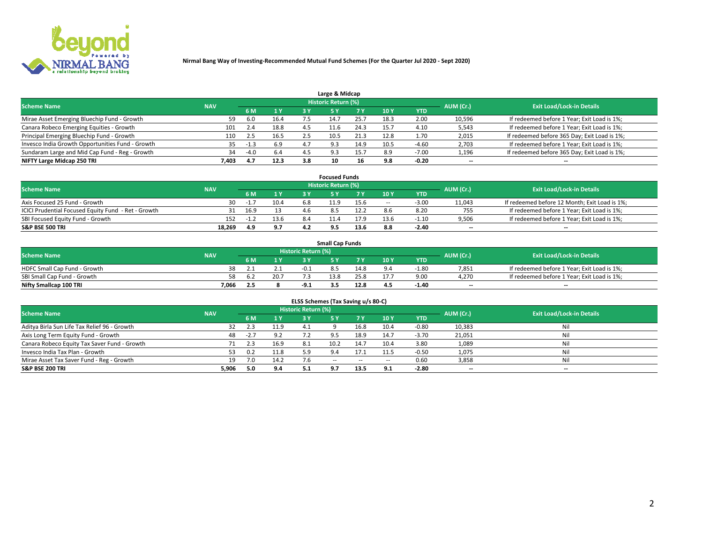

| Large & Midcap                                   |            |        |      |     |                     |      |      |            |                          |                                              |  |  |  |
|--------------------------------------------------|------------|--------|------|-----|---------------------|------|------|------------|--------------------------|----------------------------------------------|--|--|--|
| <b>Scheme Name</b>                               | <b>NAV</b> |        |      |     | Historic Return (%) |      |      |            | AUM (Cr.)                | <b>Exit Load/Lock-in Details</b>             |  |  |  |
|                                                  |            | 6 M    | 1 Y  |     |                     | 7 V  | 10Y  | <b>YTD</b> |                          |                                              |  |  |  |
| Mirae Asset Emerging Bluechip Fund - Growth      | 59         | 6.0    | 16.4 |     |                     | 25.7 | 18.3 | 2.00       | 10,596                   | If redeemed before 1 Year; Exit Load is 1%;  |  |  |  |
| Canara Robeco Emerging Equities - Growth         | 101        | 2.4    | 18.8 | 4.5 | 11.6                | 24.3 | 15.  | 4.10       | 5,543                    | If redeemed before 1 Year; Exit Load is 1%;  |  |  |  |
| Principal Emerging Bluechip Fund - Growth        | 110        | 2.5    | 16.5 |     | 10.5                | 21.3 | 12.8 | 1.70       | 2,015                    | If redeemed before 365 Day; Exit Load is 1%; |  |  |  |
| Invesco India Growth Opportunities Fund - Growth | 35         | -1.3   | 6.9  | 4.7 | 9.3                 | 14.9 | 10.5 | $-4.60$    | 2,703                    | If redeemed before 1 Year; Exit Load is 1%;  |  |  |  |
| Sundaram Large and Mid Cap Fund - Reg - Growth   | 34         | $-4.0$ | 6.4  |     | 02                  | 15.7 | 8.9  | $-7.00$    | 1,196                    | If redeemed before 365 Day; Exit Load is 1%; |  |  |  |
| NIFTY Large Midcap 250 TRI                       | 7.403      | 4.7    | 12.3 | 3.8 | 10                  | 16   | 9.8  | $-0.20$    | $\overline{\phantom{a}}$ | $- -$                                        |  |  |  |

|                                                     |            |        |      |     | <b>Focused Funds</b>       |      |        |            |                          |                                               |
|-----------------------------------------------------|------------|--------|------|-----|----------------------------|------|--------|------------|--------------------------|-----------------------------------------------|
| <b>Scheme Name</b>                                  | <b>NAV</b> |        |      |     | <b>Historic Return (%)</b> |      |        |            | AUM (Cr.)                | <b>Exit Load/Lock-in Details</b>              |
|                                                     |            | 6 M    | 1 Y  |     |                            |      | 10 Y   | <b>YTD</b> |                          |                                               |
| Axis Focused 25 Fund - Growth                       | 30         | $-1.$  | 10.4 | 6.8 | 11.9                       | 15.6 | $\sim$ | $-3.00$    | 11,043                   | If redeemed before 12 Month; Exit Load is 1%; |
| ICICI Prudential Focused Equity Fund - Ret - Growth |            | 16.9   | 13   |     |                            |      |        | 8.20       | 755                      | If redeemed before 1 Year; Exit Load is 1%;   |
| SBI Focused Equity Fund - Growth                    | 152        | $-1.2$ | 13.6 | 8.4 |                            | 17.9 | 13.6   | $-1.10$    | 9,506                    | If redeemed before 1 Year; Exit Load is 1%;   |
| <b>S&amp;P BSE 500 TRI</b>                          | 18,269     | 4.9    | 9.7  | 4.2 |                            | 13.6 |        | $-2.40$    | $\overline{\phantom{a}}$ | $\hspace{0.05cm} \cdots$                      |

| <b>Small Cap Funds</b>       |            |     |      |                     |      |      |                 |            |           |                                             |  |  |
|------------------------------|------------|-----|------|---------------------|------|------|-----------------|------------|-----------|---------------------------------------------|--|--|
| <b>Scheme Name</b>           | <b>NAV</b> |     |      | Historic Return (%) |      |      |                 |            | AUM (Cr.) | <b>Exit Load/Lock-in Details</b>            |  |  |
|                              |            | 6 M | 1 Y  |                     |      |      | 10 <sub>Y</sub> | <b>YTD</b> |           |                                             |  |  |
| HDFC Small Cap Fund - Growth |            |     |      |                     |      | 14.8 |                 | $-1.80$    | 7,851     | If redeemed before 1 Year; Exit Load is 1%; |  |  |
| SBI Small Cap Fund - Growth  |            |     | 20.7 |                     | 13.8 |      |                 | 9.00       | 4.270     | If redeemed before 1 Year; Exit Load is 1%; |  |  |
| Nifty Smallcap 100 TRI       | 7.066      |     |      | $-9.1$              |      | 12.8 | 4.5             | $-1.40$    | $-$       | $- -$                                       |  |  |

| ELSS Schemes (Tax Saving u/s 80-C)           |            |        |      |                            |           |        |                          |            |                          |                                  |  |  |  |
|----------------------------------------------|------------|--------|------|----------------------------|-----------|--------|--------------------------|------------|--------------------------|----------------------------------|--|--|--|
| <b>Scheme Name</b>                           | <b>NAV</b> |        |      | <b>Historic Return (%)</b> |           |        |                          |            | AUM (Cr.)                | <b>Exit Load/Lock-in Details</b> |  |  |  |
|                                              |            | - 6 M  | 1Y   | 73 Y                       | <b>5Y</b> | 7 Y    | 10 Y                     | <b>YTD</b> |                          |                                  |  |  |  |
| Aditya Birla Sun Life Tax Relief 96 - Growth | 32         | 2.3    | 11.9 | 4.1                        |           | 16.8   | 10.4                     | $-0.80$    | 10,383                   | Nil                              |  |  |  |
| Axis Long Term Equity Fund - Growth          | 48         | $-2.7$ | 9.2  |                            | 9.5       | 18.9   | 14.7                     | $-3.70$    | 21,051                   | Nil                              |  |  |  |
| Canara Robeco Equity Tax Saver Fund - Growth |            | 2.3    | 16.9 | 8.1                        | 10.2      | 14.7   | 10.4                     | 3.80       | 1,089                    | Nil                              |  |  |  |
| Invesco India Tax Plan - Growth              | 53         | 0.2    | 11.8 |                            |           |        | 11.5                     | $-0.50$    | 1,075                    | Nil                              |  |  |  |
| Mirae Asset Tax Saver Fund - Reg - Growth    | 19         | 7.0    | 14.2 |                            | $- -$     | $\sim$ | $\overline{\phantom{a}}$ | 0.60       | 3,858                    | Nil                              |  |  |  |
| S&P BSE 200 TRI                              | 5,906      | 5.0    | 9.4  |                            | 9.7       | 13.5   | 9.1                      | $-2.80$    | $\overline{\phantom{a}}$ | $- -$                            |  |  |  |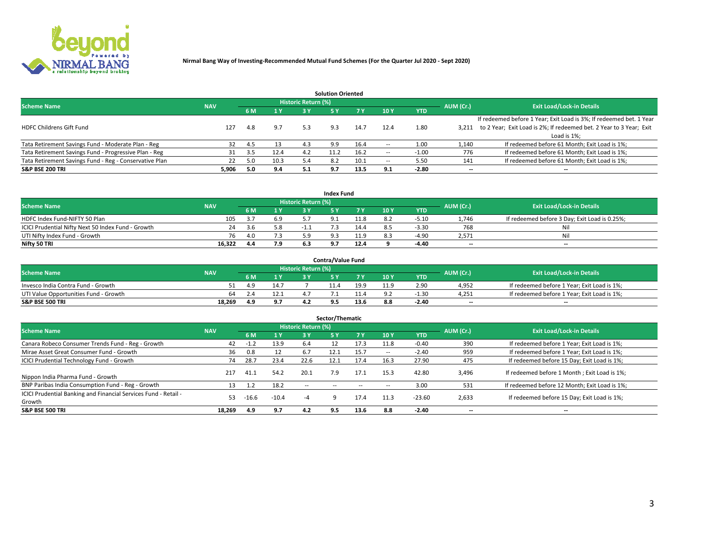

| <b>Solution Oriented</b>                               |            |            |      |                            |      |      |                          |            |                          |                                                                     |  |  |  |
|--------------------------------------------------------|------------|------------|------|----------------------------|------|------|--------------------------|------------|--------------------------|---------------------------------------------------------------------|--|--|--|
| <b>Scheme Name</b>                                     | <b>NAV</b> |            |      | <b>Historic Return (%)</b> |      |      |                          |            | AUM (Cr.)                | <b>Exit Load/Lock-in Details</b>                                    |  |  |  |
|                                                        |            | <b>6 M</b> | 1 Y  | 3 Y                        |      |      | 10Y                      | <b>YTD</b> |                          |                                                                     |  |  |  |
|                                                        |            |            |      |                            |      |      |                          |            |                          | If redeemed before 1 Year; Exit Load is 3%; If redeemed bet. 1 Year |  |  |  |
| <b>HDFC Childrens Gift Fund</b>                        | 127        | 4.8        | 9.7  | 5.3                        | 9.3  | 14.7 | 12.4                     | 1.80       | 3.211                    | to 2 Year; Exit Load is 2%; If redeemed bet. 2 Year to 3 Year; Exit |  |  |  |
|                                                        |            |            |      |                            |      |      |                          |            |                          | Load is 1%;                                                         |  |  |  |
| Tata Retirement Savings Fund - Moderate Plan - Reg     | 32         | 4.5        | 13   | 4.3                        | 9.9  | 16.4 | --                       | 1.00       | 1,140                    | If redeemed before 61 Month; Exit Load is 1%;                       |  |  |  |
| Tata Retirement Savings Fund - Progressive Plan - Reg  | 31         | 3.5        | 12.4 | 4.2                        | 11.2 | 16.2 | $\overline{\phantom{a}}$ | -1.00      | 776                      | If redeemed before 61 Month; Exit Load is 1%;                       |  |  |  |
| Tata Retirement Savings Fund - Reg - Conservative Plan | 22         | 5.0        | 10.3 | 5.4                        |      | 10.1 | --                       | 5.50       | 141                      | If redeemed before 61 Month; Exit Load is 1%;                       |  |  |  |
| S&P BSE 200 TRI                                        | 5,906      | 5.0        | 9.4  | 5.1                        | 9.7  | 13.5 | 9.1                      | $-2.80$    | $\overline{\phantom{a}}$ | $- -$                                                               |  |  |  |

|                                                    |                                                                |     |                              |     | <b>Index Fund</b> |              |      |            |                          |                                               |  |  |
|----------------------------------------------------|----------------------------------------------------------------|-----|------------------------------|-----|-------------------|--------------|------|------------|--------------------------|-----------------------------------------------|--|--|
|                                                    | <b>Historic Return (%)</b><br><b>Scheme Name</b><br><b>NAV</b> |     |                              |     |                   |              |      |            |                          |                                               |  |  |
|                                                    |                                                                |     | $\triangleq$ $\triangledown$ | 2 V |                   | 7 V          | 10 Y | <b>YTD</b> | AUM (Cr.)                | <b>Exit Load/Lock-in Details</b>              |  |  |
| HDFC Index Fund-NIFTY 50 Plan                      | 105                                                            |     | 6.9                          |     |                   |              |      | $-5.10$    | 1.746                    | If redeemed before 3 Day; Exit Load is 0.25%; |  |  |
| ICICI Prudential Nifty Next 50 Index Fund - Growth | 24                                                             | ∹.h | 5.8                          |     |                   |              |      | $-3.30$    | 768                      | Nil                                           |  |  |
| UTI Nifty Index Fund - Growth                      | 76                                                             |     |                              |     |                   | 11 O<br>41.Y |      | $-4.90$    | 2,571                    | Nil                                           |  |  |
| Nifty 50 TRI                                       | 16,322                                                         | 4.4 | 7.9                          |     |                   | 12.4         |      | -4.40      | $\overline{\phantom{a}}$ | $- -$                                         |  |  |

|                                       |            |                   |                            | <b>Contra/Value Fund</b> |      |     |            |                          |                                             |
|---------------------------------------|------------|-------------------|----------------------------|--------------------------|------|-----|------------|--------------------------|---------------------------------------------|
| <b>Scheme Name</b>                    | <b>NAV</b> |                   | <b>Historic Return (%)</b> |                          |      |     |            | AUM (Cr.)                | <b>Exit Load/Lock-in Details</b>            |
|                                       |            | $\sim$ $\sqrt{ }$ |                            |                          | 7 V  | 10Y | <b>YTD</b> |                          |                                             |
| Invesco India Contra Fund - Growth    |            | 14.7              |                            |                          | 19.9 |     | 2.90       | 4,952                    | If redeemed before 1 Year; Exit Load is 1%; |
| UTI Value Opportunities Fund - Growth | 64         | 12.1              |                            |                          |      |     | $-1.30$    | 4,251                    | If redeemed before 1 Year; Exit Load is 1%; |
| <b>S&amp;P BSE 500 TRI</b>            | 18.269     |                   |                            |                          | 13.6 |     | $-2.40$    | $\overline{\phantom{a}}$ | $- -$                                       |

| Sector/Thematic                                                           |            |        |         |                     |            |            |                          |            |           |                                               |  |  |  |
|---------------------------------------------------------------------------|------------|--------|---------|---------------------|------------|------------|--------------------------|------------|-----------|-----------------------------------------------|--|--|--|
| <b>Scheme Name</b>                                                        | <b>NAV</b> |        |         | Historic Return (%) |            |            |                          |            | AUM (Cr.) | <b>Exit Load/Lock-in Details</b>              |  |  |  |
|                                                                           |            | 6 M    | 1 Y     | 3 Y                 | <b>5Y</b>  | <b>7 Y</b> | 10Y                      | <b>YTD</b> |           |                                               |  |  |  |
| Canara Robeco Consumer Trends Fund - Reg - Growth                         | 42         | $-1.2$ | 13.9    | 6.4                 |            | 17.3       | 11.8                     | $-0.40$    | 390       | If redeemed before 1 Year; Exit Load is 1%;   |  |  |  |
| Mirae Asset Great Consumer Fund - Growth                                  | 36         | 0.8    | 12      | -6.7                | 12.1       | 15.7       | $\overline{\phantom{a}}$ | $-2.40$    | 959       | If redeemed before 1 Year; Exit Load is 1%;   |  |  |  |
| <b>ICICI Prudential Technology Fund - Growth</b>                          | 74         | 28.7   | 23.4    | 22.6                | 12.1       | 17.4       | 16.3                     | 27.90      | 475       | If redeemed before 15 Day; Exit Load is 1%;   |  |  |  |
| Nippon India Pharma Fund - Growth                                         | 217        | 41.1   | 54.2    | 20.1                | 7.9        | 17.1       | 15.3                     | 42.80      | 3,496     | If redeemed before 1 Month; Exit Load is 1%;  |  |  |  |
| BNP Paribas India Consumption Fund - Reg - Growth                         | 13         | 1.2    | 18.2    | $\sim$ $\sim$       | $\sim$ $-$ | $\sim$     | $\overline{\phantom{a}}$ | 3.00       | 531       | If redeemed before 12 Month; Exit Load is 1%; |  |  |  |
| ICICI Prudential Banking and Financial Services Fund - Retail -<br>Growth | 53         | -16.6  | $-10.4$ | -4                  |            | 17.4       | 11.3                     | $-23.60$   | 2,633     | If redeemed before 15 Day; Exit Load is 1%;   |  |  |  |
| <b>S&amp;P BSE 500 TRI</b>                                                | 18.269     | 4.9    | 9.7     | 4.2                 | 9.5        | 13.6       | 8.8                      | $-2.40$    | $- -$     | --                                            |  |  |  |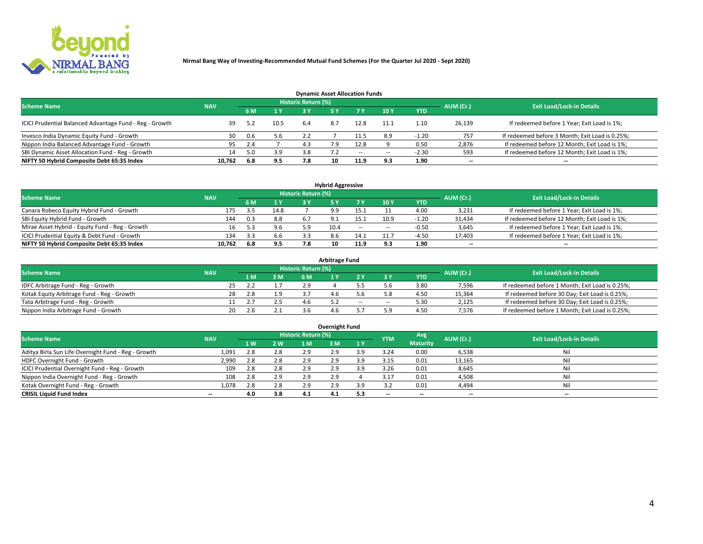

| <b>Dynamic Asset Allocation Funds</b>                   |                                                                                                                 |     |      |     |     |        |                          |            |        |                                                 |  |  |  |  |  |
|---------------------------------------------------------|-----------------------------------------------------------------------------------------------------------------|-----|------|-----|-----|--------|--------------------------|------------|--------|-------------------------------------------------|--|--|--|--|--|
|                                                         | <b>Historic Return (%)</b><br><b>Exit Load/Lock-in Details</b><br><b>Scheme Name</b><br>AUM (Cr.)<br><b>NAV</b> |     |      |     |     |        |                          |            |        |                                                 |  |  |  |  |  |
|                                                         |                                                                                                                 | 6 M | 1 Y  |     |     |        | $-10Y$                   | <b>YTD</b> |        |                                                 |  |  |  |  |  |
| ICICI Prudential Balanced Advantage Fund - Reg - Growth | 39                                                                                                              | 5.2 | 10.5 | 6.4 | 8.7 | 12.8   | 11.1                     | 1.10       | 26,139 | If redeemed before 1 Year; Exit Load is 1%;     |  |  |  |  |  |
| Invesco India Dynamic Equity Fund - Growth              | 30                                                                                                              | 0.6 | 5.6  | 2.2 |     | 11.5   | 8.9                      | $-1.20$    | 757    | If redeemed before 3 Month; Exit Load is 0.25%; |  |  |  |  |  |
| Nippon India Balanced Advantage Fund - Growth           | 95                                                                                                              | 2.4 |      | 4.3 | 7.9 | 12.8   |                          | 0.50       | 2,876  | If redeemed before 12 Month; Exit Load is 1%;   |  |  |  |  |  |
| SBI Dynamic Asset Allocation Fund - Reg - Growth        | 14                                                                                                              | 5.0 | 3.9  | 3.8 |     | $\sim$ | $\overline{\phantom{a}}$ | $-2.30$    | 593    | If redeemed before 12 Month; Exit Load is 1%;   |  |  |  |  |  |
| NIFTY 50 Hybrid Composite Debt 65:35 Index              | 10,762                                                                                                          | 6.8 | 9.5  | 7.8 |     | 11.9   | 9.3                      | 1.90       | $- -$  | $- -$                                           |  |  |  |  |  |

| <b>Hybrid Aggressive</b>                        |                                                                                                          |     |      |     |            |            |                          |            |                          |                                               |  |  |  |  |  |
|-------------------------------------------------|----------------------------------------------------------------------------------------------------------|-----|------|-----|------------|------------|--------------------------|------------|--------------------------|-----------------------------------------------|--|--|--|--|--|
|                                                 | Historic Return (%)<br><b>Exit Load/Lock-in Details</b><br><b>Scheme Name</b><br>AUM (Cr.)<br><b>NAV</b> |     |      |     |            |            |                          |            |                          |                                               |  |  |  |  |  |
|                                                 |                                                                                                          | 6 M | 1 Y  | 2 V |            |            | 10Y                      | <b>YTD</b> |                          |                                               |  |  |  |  |  |
| Canara Robeco Equity Hybrid Fund - Growth       | 175                                                                                                      | っち  | 14.8 |     | $^{\circ}$ |            |                          | 4.00       | 3,231                    | If redeemed before 1 Year; Exit Load is 1%;   |  |  |  |  |  |
| SBI Equity Hybrid Fund - Growth                 | 144                                                                                                      | 0.3 | 8.8  |     |            | 15.1       | 10.9                     | $-1.20$    | 31,434                   | If redeemed before 12 Month; Exit Load is 1%; |  |  |  |  |  |
| Mirae Asset Hybrid - Equity Fund - Reg - Growth | 16                                                                                                       |     | 9.6  | 5.9 | 10.4       | $\sim$ $-$ | $\overline{\phantom{a}}$ | $-0.50$    | 3,645                    | If redeemed before 1 Year; Exit Load is 1%;   |  |  |  |  |  |
| ICICI Prudential Equity & Debt Fund - Growth    | 134                                                                                                      | 3.3 | 6.6  |     |            | 14.1       | 11.7                     | $-4.50$    | 17,403                   | If redeemed before 1 Year; Exit Load is 1%;   |  |  |  |  |  |
| NIFTY 50 Hybrid Composite Debt 65:35 Index      | 10.762                                                                                                   | 6.8 | 9.5  |     | 10         | 11.9       |                          | 1.90       | $\overline{\phantom{a}}$ | $- -$                                         |  |  |  |  |  |

| <b>Arbitrage Fund</b>                      |            |      |     |                     |  |        |        |            |           |                                                 |  |  |  |  |
|--------------------------------------------|------------|------|-----|---------------------|--|--------|--------|------------|-----------|-------------------------------------------------|--|--|--|--|
| <b>Scheme Name</b>                         | <b>NAV</b> |      |     | Historic Return (%) |  |        |        |            | AUM (Cr.) | <b>Exit Load/Lock-in Details</b>                |  |  |  |  |
|                                            |            | L M. | 3 M | <b>6M</b>           |  |        |        | <b>YTD</b> |           |                                                 |  |  |  |  |
| IDFC Arbitrage Fund - Reg - Growth         |            | 25   |     | 2.9                 |  |        |        | 3.80       | 7,596     | If redeemed before 1 Month; Exit Load is 0.25%; |  |  |  |  |
| Kotak Equity Arbitrage Fund - Reg - Growth |            | 2.8  |     |                     |  |        |        | 4.50       | 15,364    | If redeemed before 30 Day; Exit Load is 0.25%;  |  |  |  |  |
| Tata Arbitrage Fund - Reg - Growth         |            |      |     | 4.b                 |  | $\sim$ | $\sim$ | 5.30       | 2,125     | If redeemed before 30 Day; Exit Load is 0.25%;  |  |  |  |  |
| Nippon India Arbitrage Fund - Growth       | 20         | ≀.b  |     |                     |  |        |        | 4.50       | 7.576     | If redeemed before 1 Month; Exit Load is 0.25%; |  |  |  |  |

| Overnight Fund                                      |            |     |     |                     |     |           |            |                 |                          |                                  |  |  |  |  |
|-----------------------------------------------------|------------|-----|-----|---------------------|-----|-----------|------------|-----------------|--------------------------|----------------------------------|--|--|--|--|
| <b>Scheme Name</b>                                  | <b>NAV</b> |     |     | Historic Return (%) |     |           | <b>YTM</b> | Avg             | AUM (Cr.)                | <b>Exit Load/Lock-in Details</b> |  |  |  |  |
|                                                     |            | 1 W | 2 W | 1 M                 | 3 M | <b>1Y</b> |            | <b>Maturity</b> |                          |                                  |  |  |  |  |
| Aditya Birla Sun Life Overnight Fund - Reg - Growth | 1,091      |     | 2.8 | 2.9                 | 2.9 | 3.9       | 3.24       | 0.00            | 6,538                    | Nil                              |  |  |  |  |
| HDFC Overnight Fund - Growth                        | 2,990      |     | 2.8 | 2.9                 | 2.9 | 3.9       | 3.15       | 0.01            | 13,165                   | Nil                              |  |  |  |  |
| ICICI Prudential Overnight Fund - Reg - Growth      | 109        |     | 2.8 | 2.9                 | 2.9 | 3.9       | 3.26       | 0.01            | 8,645                    | Nil                              |  |  |  |  |
| Nippon India Overnight Fund - Reg - Growth          | 108        | 2.8 | 2.9 | 2.9                 | 2.9 |           |            | 0.01            | 4,508                    | Nil                              |  |  |  |  |
| Kotak Overnight Fund - Reg - Growth                 | 1,078      |     | 2.8 | 2.9                 | 2.9 | 3.9       |            | 0.01            | 4,494                    | Nil                              |  |  |  |  |
| <b>CRISIL Liquid Fund Index</b>                     | $- -$      | 4.0 | 3.8 | 4.1                 | 4.1 | 5.3       | --         | --              | $\overline{\phantom{a}}$ | --                               |  |  |  |  |

## **Overnight Fund**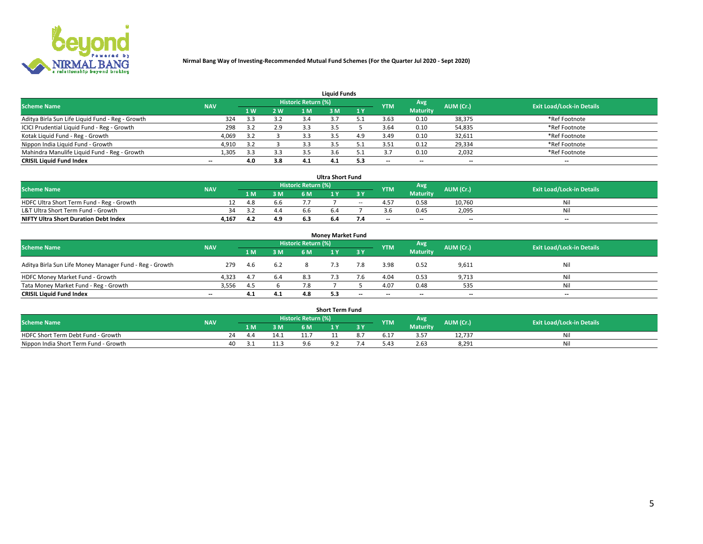

| <b>Liquid Funds</b>                              |            |     |     |                            |     |     |                          |                 |                          |                                  |  |  |  |  |
|--------------------------------------------------|------------|-----|-----|----------------------------|-----|-----|--------------------------|-----------------|--------------------------|----------------------------------|--|--|--|--|
| <b>Scheme Name</b>                               | <b>NAV</b> |     |     | <b>Historic Return (%)</b> |     |     | <b>YTM</b>               | Avg             | AUM (Cr.)                | <b>Exit Load/Lock-in Details</b> |  |  |  |  |
|                                                  |            | 1 W | 2 W | 1 M                        | : M | 1Y  |                          | <b>Maturity</b> |                          |                                  |  |  |  |  |
| Aditya Birla Sun Life Liquid Fund - Reg - Growth | 324        |     | 3.2 | 3.4                        |     |     | 3.63                     | 0.10            | 38,375                   | *Ref Footnote                    |  |  |  |  |
| ICICI Prudential Liquid Fund - Reg - Growth      | 298        |     | 2.9 |                            |     |     | 3.64                     | 0.10            | 54,835                   | *Ref Footnote                    |  |  |  |  |
| Kotak Liquid Fund - Reg - Growth                 | 4,069      |     |     |                            |     | 4.9 | 3.49                     | 0.10            | 32,611                   | *Ref Footnote                    |  |  |  |  |
| Nippon India Liquid Fund - Growth                | 4,910      | 3.2 |     |                            |     |     | 3.51                     | 0.12            | 29,334                   | *Ref Footnote                    |  |  |  |  |
| Mahindra Manulife Liquid Fund - Reg - Growth     | 1,305      | 3.3 | 3.3 |                            |     |     |                          | 0.10            | 2,032                    | *Ref Footnote                    |  |  |  |  |
| <b>CRISIL Liquid Fund Index</b>                  | $- -$      | 4.0 | 3.8 | 4.1                        | 4.1 | 5.3 | $\overline{\phantom{a}}$ | $- -$           | $\overline{\phantom{a}}$ | $\overline{\phantom{m}}$         |  |  |  |  |

| <b>Ultra Short Fund</b>                      |            |      |     |                     |     |       |            |                 |                          |                                  |  |  |  |
|----------------------------------------------|------------|------|-----|---------------------|-----|-------|------------|-----------------|--------------------------|----------------------------------|--|--|--|
| <b>Scheme Name</b>                           | <b>NAV</b> |      |     | Historic Return (%) |     |       | <b>YTM</b> | Avg             | AUM (Cr.)                | <b>Exit Load/Lock-in Details</b> |  |  |  |
|                                              |            | 1 M. | 3 M | 6 M                 | 1 Y |       |            | <b>Maturity</b> |                          |                                  |  |  |  |
| HDFC Ultra Short Term Fund - Reg - Growth    |            | 4.8  | 6.6 |                     |     | $- -$ | 4.57       | 0.58            | 10.760                   | Ni                               |  |  |  |
| L&T Ultra Short Term Fund - Growth           |            |      | 4.4 |                     |     |       |            | 0.45            | 2,095                    | Ni                               |  |  |  |
| <b>NIFTY Ultra Short Duration Debt Index</b> | 4,167      | 4.2  | 4.9 |                     | 6.4 |       | $-$        | $- -$           | $\overline{\phantom{a}}$ | $-$                              |  |  |  |

| <b>Money Market Fund</b>                                |            |       |     |                     |  |       |                          |                 |                          |                                  |  |  |  |  |
|---------------------------------------------------------|------------|-------|-----|---------------------|--|-------|--------------------------|-----------------|--------------------------|----------------------------------|--|--|--|--|
| <b>Scheme Name</b>                                      | <b>NAV</b> |       |     | Historic Return (%) |  |       | <b>YTM</b>               | Avg             | AUM (Cr.)                | <b>Exit Load/Lock-in Details</b> |  |  |  |  |
|                                                         |            | 1 M   | 3 M | 6 M                 |  | 3 Y   |                          | <b>Maturity</b> |                          |                                  |  |  |  |  |
| Aditya Birla Sun Life Money Manager Fund - Reg - Growth | 279        | - 4.6 | 6.2 |                     |  | 7.8   | 3.98                     | 0.52            | 9,611                    | Nil                              |  |  |  |  |
| HDFC Money Market Fund - Growth                         | 4.323      | 4.7   | 6.4 | 8.3                 |  |       | 4.04                     | 0.53            | 9,713                    | Nil                              |  |  |  |  |
| Tata Money Market Fund - Reg - Growth                   | 3,556      | -4.5  |     | 7.8                 |  |       | 4.07                     | 0.48            | 535                      | Nil                              |  |  |  |  |
| <b>CRISIL Liquid Fund Index</b>                         | $- -$      | 4.1   | 4.1 | 4.8                 |  | $- -$ | $\overline{\phantom{a}}$ | $- -$           | $\overline{\phantom{a}}$ | $\overline{\phantom{a}}$         |  |  |  |  |

| <b>Short Term Fund</b>                |            |       |      |                     |     |     |      |                 |           |                                  |  |  |  |
|---------------------------------------|------------|-------|------|---------------------|-----|-----|------|-----------------|-----------|----------------------------------|--|--|--|
| <b>Scheme Name</b>                    | <b>NAV</b> |       |      | Historic Return (%) |     |     | YTM  | Avg             | AUM (Cr.) | <b>Exit Load/Lock-in Details</b> |  |  |  |
|                                       |            | 1 M . | 3 M  | 6 M                 | l M | 2 V |      | <b>Maturity</b> |           |                                  |  |  |  |
| HDFC Short Term Debt Fund - Growth    | 24         | 44    |      |                     |     |     | 5.17 | .<br>3.5,       | 12,737    | N                                |  |  |  |
| Nippon India Short Term Fund - Growth |            |       | ⊥⊥.∶ |                     |     |     | 4۰.د | 2.63            | 8,291     | M                                |  |  |  |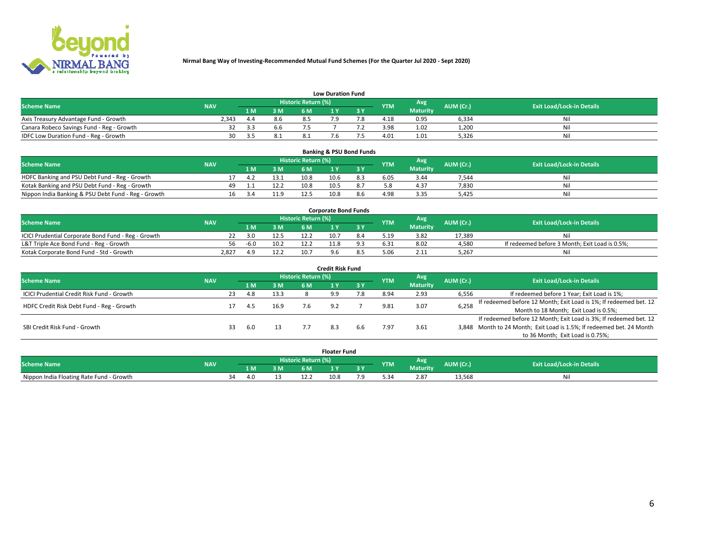

|                                           | <b>Low Duration Fund</b> |      |     |                     |  |     |            |                 |           |                                  |  |  |  |  |  |
|-------------------------------------------|--------------------------|------|-----|---------------------|--|-----|------------|-----------------|-----------|----------------------------------|--|--|--|--|--|
| <b>Scheme Name</b>                        | <b>NAV</b>               |      |     | Historic Return (%) |  |     | <b>YTM</b> | Avg             | AUM (Cr.) | <b>Exit Load/Lock-in Details</b> |  |  |  |  |  |
|                                           |                          | L M. | 3 M |                     |  | 3 Y |            | <b>Maturity</b> |           |                                  |  |  |  |  |  |
| Axis Treasury Advantage Fund - Growth     | 2.343                    | 4.4  | 8.6 |                     |  |     | 4.18       | 0.95            | 6,334     | Nil                              |  |  |  |  |  |
| Canara Robeco Savings Fund - Reg - Growth |                          | -3.3 | 6.6 |                     |  |     | 3.98       | 1.02            | 1,200     | Nil                              |  |  |  |  |  |
| IDFC Low Duration Fund - Reg - Growth     | 30                       |      | 8.⊥ |                     |  |     | 4.01       | 1.01            | 5,326     | Nil                              |  |  |  |  |  |

| <b>Banking &amp; PSU Bond Funds</b>                 |            |     |     |      |                            |      |  |            |                 |           |                                  |  |  |  |
|-----------------------------------------------------|------------|-----|-----|------|----------------------------|------|--|------------|-----------------|-----------|----------------------------------|--|--|--|
| <b>Scheme Name</b>                                  | <b>NAV</b> |     |     |      | <b>Historic Return (%)</b> |      |  | <b>YTM</b> | Avg             | AUM (Cr.) | <b>Exit Load/Lock-in Details</b> |  |  |  |
|                                                     |            |     |     | 3 M  | 6 M                        |      |  |            | <b>Maturity</b> |           |                                  |  |  |  |
| HDFC Banking and PSU Debt Fund - Reg - Growth       |            |     | 4.2 | 13.1 | 10.8                       | 10.6 |  | 6.05       | 3.44            | 7.544     | Ni                               |  |  |  |
| Kotak Banking and PSU Debt Fund - Reg - Growth      |            | 49. |     | 12.2 | 10.8                       | 10.5 |  |            | 4.37            | 7,830     | Nil                              |  |  |  |
| Nippon India Banking & PSU Debt Fund - Reg - Growth |            | 16  | -34 |      | 12.5                       | 10.8 |  | 4.98       | 3.35            | 5.425     | Ni                               |  |  |  |

| <b>Corporate Bond Funds</b>                         |            |        |      |                            |      |  |            |          |           |                                                |  |  |  |  |
|-----------------------------------------------------|------------|--------|------|----------------------------|------|--|------------|----------|-----------|------------------------------------------------|--|--|--|--|
| <b>Scheme Name</b>                                  | <b>NAV</b> |        |      | <b>Historic Return (%)</b> |      |  | <b>YTM</b> | Avg      | AUM (Cr.) | <b>Exit Load/Lock-in Details</b>               |  |  |  |  |
|                                                     |            |        | 3 M  | 6 M.                       |      |  |            | Maturity |           |                                                |  |  |  |  |
| ICICI Prudential Corporate Bond Fund - Reg - Growth |            | 3.0    | 12.5 |                            | 10.7 |  | 5.19       | 3.82     | 17.389    | Nil                                            |  |  |  |  |
| L&T Triple Ace Bond Fund - Reg - Growth             | 56         | $-6.0$ | 10.2 | 12.2                       |      |  | 6.31       | 8.02     | 4,580     | If redeemed before 3 Month; Exit Load is 0.5%; |  |  |  |  |
| Kotak Corporate Bond Fund - Std - Growth            | 2.827      |        | 12.2 | 10.7                       |      |  |            | 2.11     | 5,267     | Nil                                            |  |  |  |  |

| <b>Credit Risk Fund</b>                    |            |    |            |      |                            |     |           |            |                 |           |                                                                       |  |  |  |
|--------------------------------------------|------------|----|------------|------|----------------------------|-----|-----------|------------|-----------------|-----------|-----------------------------------------------------------------------|--|--|--|
| <b>Scheme Name</b>                         | <b>NAV</b> |    |            |      | <b>Historic Return (%)</b> |     |           | <b>YTM</b> | Avg             | AUM (Cr.) | <b>Exit Load/Lock-in Details</b>                                      |  |  |  |
|                                            |            |    | <b>1 M</b> | 3 M  | 6 M                        |     | <b>3Y</b> |            | <b>Maturity</b> |           |                                                                       |  |  |  |
| ICICI Prudential Credit Risk Fund - Growth |            | 23 | 4.8        | 13.3 |                            | 9.9 |           | 8.94       | 2.93            | 6,556     | If redeemed before 1 Year; Exit Load is 1%;                           |  |  |  |
| HDFC Credit Risk Debt Fund - Reg - Growth  |            |    |            | 16.9 |                            |     |           | 9.81       | 3.07            | 6,258     | If redeemed before 12 Month; Exit Load is 1%; If redeemed bet. 12     |  |  |  |
|                                            |            |    | 4.5        |      |                            |     |           |            |                 |           | Month to 18 Month; Exit Load is 0.5%;                                 |  |  |  |
|                                            |            |    |            |      |                            |     |           |            |                 |           | If redeemed before 12 Month; Exit Load is 3%; If redeemed bet. 12     |  |  |  |
| SBI Credit Risk Fund - Growth              |            | 33 | 6.0        |      |                            |     | 6.6       | '.97       | 3.61            |           | 3,848 Month to 24 Month; Exit Load is 1.5%; If redeemed bet. 24 Month |  |  |  |
|                                            |            |    |            |      |                            |     |           |            |                 |           | to 36 Month; Exit Load is 0.75%;                                      |  |  |  |

| <b>Floater Fund</b>                      |            |      |     |    |                       |      |   |            |                 |           |                                  |
|------------------------------------------|------------|------|-----|----|-----------------------|------|---|------------|-----------------|-----------|----------------------------------|
| <b>Scheme Name</b>                       | <b>NAV</b> |      |     |    | Historic Return (%) \ |      |   | <b>YTM</b> | Avg             | AUM (Cr.) | <b>Exit Load/Lock-in Details</b> |
|                                          |            |      | 1 M | ЗM | 6 M                   | .    | . |            | <b>Maturity</b> |           |                                  |
| Nippon India Floating Rate Fund - Growth |            | - 34 | 4 G |    |                       | 10.8 |   |            | 2.87            | 13,568    | NL                               |